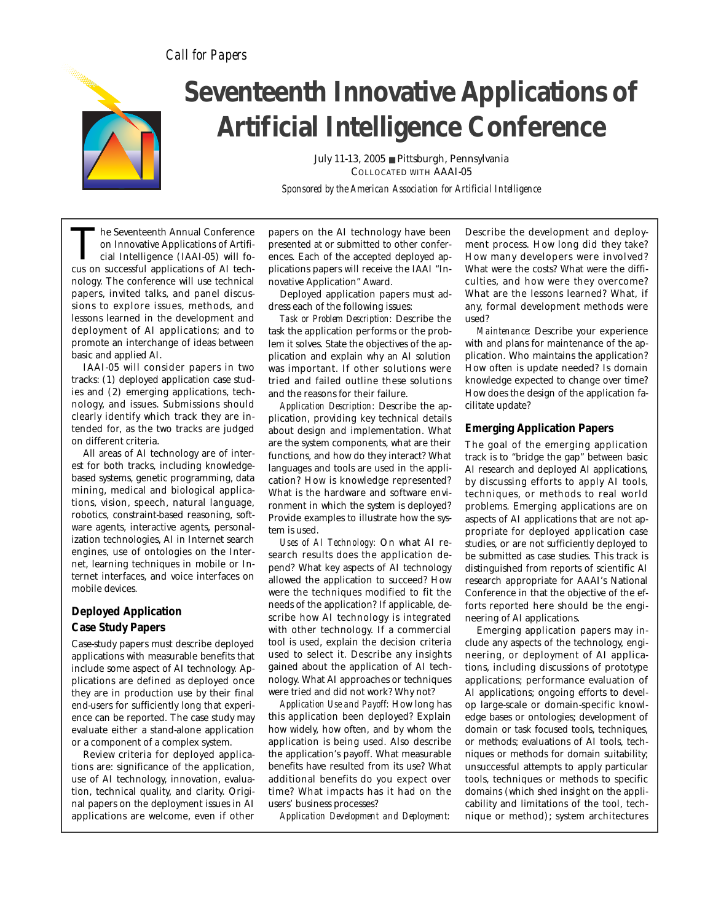# *Call for Papers*



# **Seventeenth Innovative Applications of Artificial Intelligence Conference**

July 11-13, 2005 ■ Pittsburgh, Pennsylvania COLLOCATED WITH AAAI-05

*Sponsored by the American Association for Artificial Intelligence* 

The Seventeenth Annual Conference<br>
on Innovative Applications of Artificial<br>
cial Intelligence (IAAI-05) will fo-<br>
cus on successful applications of AI techon Innovative Applications of Artificial Intelligence (IAAI-05) will fonology. The conference will use technical papers, invited talks, and panel discussions to explore issues, methods, and lessons learned in the development and deployment of AI applications; and to promote an interchange of ideas between basic and applied AI.

IAAI-05 will consider papers in two tracks: (1) deployed application case studies and (2) emerging applications, technology, and issues. Submissions should clearly identify which track they are intended for, as the two tracks are judged on different criteria.

All areas of AI technology are of interest for both tracks, including knowledgebased systems, genetic programming, data mining, medical and biological applications, vision, speech, natural language, robotics, constraint-based reasoning, software agents, interactive agents, personalization technologies, AI in Internet search engines, use of ontologies on the Internet, learning techniques in mobile or Internet interfaces, and voice interfaces on mobile devices.

## **Deployed Application Case Study Papers**

Case-study papers must describe deployed applications with measurable benefits that include some aspect of AI technology. Applications are defined as deployed once they are in production use by their final end-users for sufficiently long that experience can be reported. The case study may evaluate either a stand-alone application or a component of a complex system.

Review criteria for deployed applications are: significance of the application, use of AI technology, innovation, evaluation, technical quality, and clarity. Original papers on the deployment issues in AI applications are welcome, even if other

papers on the AI technology have been presented at or submitted to other conferences. Each of the accepted deployed applications papers will receive the IAAI "Innovative Application" Award.

Deployed application papers must address each of the following issues:

*Task or Problem Description:* Describe the task the application performs or the problem it solves. State the objectives of the application and explain why an AI solution was important. If other solutions were tried and failed outline these solutions and the reasons for their failure.

*Application Description:* Describe the application, providing key technical details about design and implementation. What are the system components, what are their functions, and how do they interact? What languages and tools are used in the application? How is knowledge represented? What is the hardware and software environment in which the system is deployed? Provide examples to illustrate how the system is used.

*Uses of AI Technology:* On what AI research results does the application depend? What key aspects of AI technology allowed the application to succeed? How were the techniques modified to fit the needs of the application? If applicable, describe how AI technology is integrated with other technology. If a commercial tool is used, explain the decision criteria used to select it. Describe any insights gained about the application of AI technology. What AI approaches or techniques were tried and did not work? Why not?

*Application Use and Payoff:* How long has this application been deployed? Explain how widely, how often, and by whom the application is being used. Also describe the application's payoff. What measurable benefits have resulted from its use? What additional benefits do you expect over time? What impacts has it had on the users' business processes?

*Application Development and Deployment:*

Describe the development and deployment process. How long did they take? How many developers were involved? What were the costs? What were the difficulties, and how were they overcome? What are the lessons learned? What, if any, formal development methods were used?

*Maintenance:* Describe your experience with and plans for maintenance of the application. Who maintains the application? How often is update needed? Is domain knowledge expected to change over time? How does the design of the application facilitate update?

## **Emerging Application Papers**

The goal of the emerging application track is to "bridge the gap" between basic AI research and deployed AI applications, by discussing efforts to apply AI tools, techniques, or methods to real world problems. Emerging applications are on aspects of AI applications that are not appropriate for deployed application case studies, or are not sufficiently deployed to be submitted as case studies. This track is distinguished from reports of scientific AI research appropriate for AAAI's National Conference in that the objective of the efforts reported here should be the engineering of AI applications.

Emerging application papers may include any aspects of the technology, engineering, or deployment of AI applications, including discussions of prototype applications; performance evaluation of AI applications; ongoing efforts to develop large-scale or domain-specific knowledge bases or ontologies; development of domain or task focused tools, techniques, or methods; evaluations of AI tools, techniques or methods for domain suitability; unsuccessful attempts to apply particular tools, techniques or methods to specific domains (which shed insight on the applicability and limitations of the tool, technique or method); system architectures